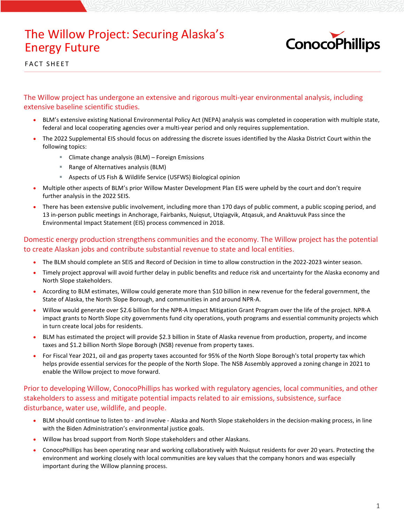## The Willow Project: Securing Alaska's Energy Future



FACT SHEET

The Willow project has undergone an extensive and rigorous multi-year environmental analysis, including extensive baseline scientific studies.

- BLM's extensive existing National Environmental Policy Act (NEPA) analysis was completed in cooperation with multiple state, federal and local cooperating agencies over a multi-year period and only requires supplementation.
- The 2022 Supplemental EIS should focus on addressing the discrete issues identified by the Alaska District Court within the following topics:
	- Climate change analysis (BLM) Foreign Emissions
	- Range of Alternatives analysis (BLM)
	- Aspects of US Fish & Wildlife Service (USFWS) Biological opinion
- Multiple other aspects of BLM's prior Willow Master Development Plan EIS were upheld by the court and don't require further analysis in the 2022 SEIS.
- There has been extensive public involvement, including more than 170 days of public comment, a public scoping period, and 13 in-person public meetings in Anchorage, Fairbanks, Nuiqsut, Utqiagvik, Atqasuk, and Anaktuvuk Pass since the Environmental Impact Statement (EIS) process commenced in 2018.

Domestic energy production strengthens communities and the economy. The Willow project has the potential to create Alaskan jobs and contribute substantial revenue to state and local entities.

- The BLM should complete an SEIS and Record of Decision in time to allow construction in the 2022-2023 winter season.
- Timely project approval will avoid further delay in public benefits and reduce risk and uncertainty for the Alaska economy and North Slope stakeholders.
- According to BLM estimates, Willow could generate more than \$10 billion in new revenue for the federal government, the State of Alaska, the North Slope Borough, and communities in and around NPR-A.
- Willow would generate over \$2.6 billion for the NPR-A Impact Mitigation Grant Program over the life of the project. NPR-A impact grants to North Slope city governments fund city operations, youth programs and essential community projects which in turn create local jobs for residents.
- BLM has estimated the project will provide \$2.3 billion in State of Alaska revenue from production, property, and income taxes and \$1.2 billion North Slope Borough (NSB) revenue from property taxes.
- For Fiscal Year 2021, oil and gas property taxes accounted for 95% of the North Slope Borough's total property tax which helps provide essential services for the people of the North Slope. The NSB Assembly approved a zoning change in 2021 to enable the Willow project to move forward.

Prior to developing Willow, ConocoPhillips has worked with regulatory agencies, local communities, and other stakeholders to assess and mitigate potential impacts related to air emissions, subsistence, surface disturbance, water use, wildlife, and people.

- BLM should continue to listen to and involve Alaska and North Slope stakeholders in the decision-making process, in line with the Biden Administration's environmental justice goals.
- Willow has broad support from North Slope stakeholders and other Alaskans.
- ConocoPhillips has been operating near and working collaboratively with Nuiqsut residents for over 20 years. Protecting the environment and working closely with local communities are key values that the company honors and was especially important during the Willow planning process.